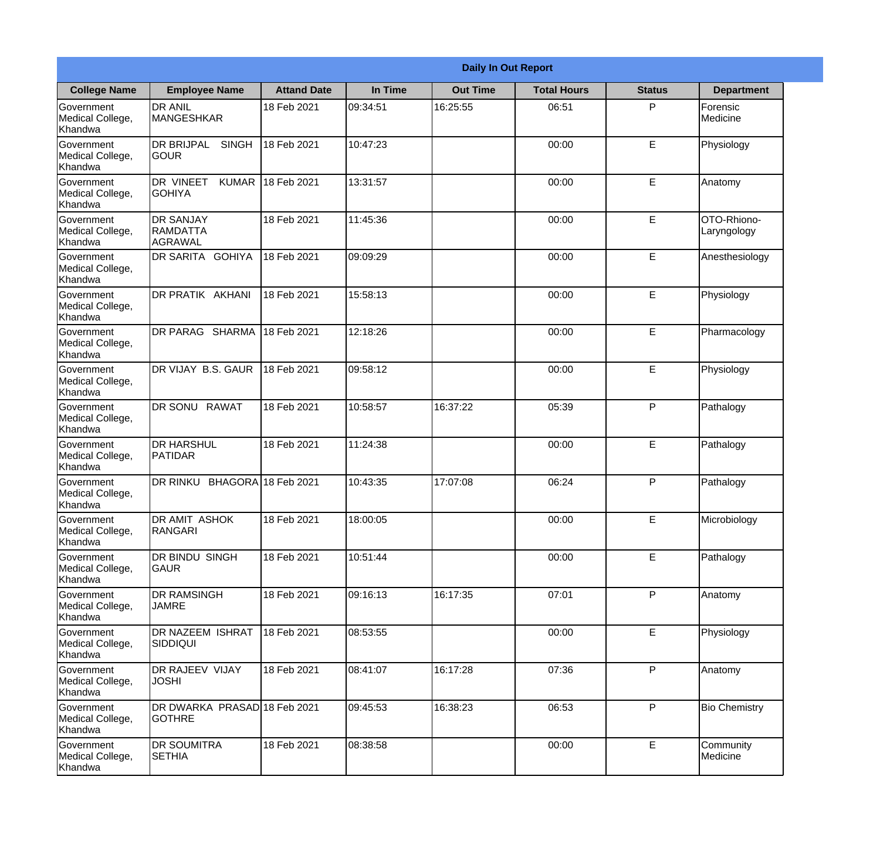|                                                  |                                                       |                     |          | <b>Daily In Out Report</b> |                    |               |                            |
|--------------------------------------------------|-------------------------------------------------------|---------------------|----------|----------------------------|--------------------|---------------|----------------------------|
| <b>College Name</b>                              | <b>Employee Name</b>                                  | <b>Attand Date</b>  | In Time  | <b>Out Time</b>            | <b>Total Hours</b> | <b>Status</b> | <b>Department</b>          |
| Government<br>Medical College,<br>Khandwa        | <b>DR ANIL</b><br><b>MANGESHKAR</b>                   | 18 Feb 2021         | 09:34:51 | 16:25:55                   | 06:51              | P             | Forensic<br>Medicine       |
| Government<br>Medical College,<br>Khandwa        | <b>DR BRIJPAL</b><br><b>SINGH</b><br> GOUR            | 18 Feb 2021         | 10:47:23 |                            | 00:00              | E             | Physiology                 |
| <b>Government</b><br>Medical College,<br>Khandwa | <b>DR VINEET</b><br><b>KUMAR</b><br><b>I</b> GOHIYA   | 18 Feb 2021         | 13:31:57 |                            | 00:00              | E             | Anatomy                    |
| Government<br>Medical College,<br>Khandwa        | <b>DR SANJAY</b><br><b>RAMDATTA</b><br><b>AGRAWAL</b> | 18 Feb 2021         | 11:45:36 |                            | 00:00              | E             | OTO-Rhiono-<br>Laryngology |
| Government<br>Medical College,<br>Khandwa        | <b>IDR SARITA GOHIYA</b>                              | 18 Feb 2021         | 09:09:29 |                            | 00:00              | E             | Anesthesiology             |
| Government<br>Medical College,<br>Khandwa        | DR PRATIK AKHANI                                      | 18 Feb 2021         | 15:58:13 |                            | 00:00              | E             | Physiology                 |
| Government<br>Medical College,<br>Khandwa        | DR PARAG SHARMA                                       | 18 Feb 2021         | 12:18:26 |                            | 00:00              | E             | Pharmacology               |
| Government<br>Medical College,<br>Khandwa        | DR VIJAY B.S. GAUR                                    | 18 Feb 2021         | 09:58:12 |                            | 00:00              | E             | Physiology                 |
| Government<br>Medical College,<br>Khandwa        | <b>DR SONU RAWAT</b>                                  | 18 Feb 2021         | 10:58:57 | 16:37:22                   | 05:39              | P             | Pathalogy                  |
| Government<br>Medical College,<br>Khandwa        | <b>DR HARSHUL</b><br>PATIDAR                          | 18 Feb 2021         | 11:24:38 |                            | 00:00              | E             | Pathalogy                  |
| Government<br>Medical College,<br>Khandwa        | <b>DR RINKU</b>                                       | BHAGORA 18 Feb 2021 | 10:43:35 | 17:07:08                   | 06:24              | $\mathsf{P}$  | Pathalogy                  |
| Government<br>Medical College,<br>Khandwa        | <b>DR AMIT ASHOK</b><br>RANGARI                       | 18 Feb 2021         | 18:00:05 |                            | 00:00              | E             | Microbiology               |
| Government<br>Medical College,<br>Khandwa        | DR BINDU SINGH<br><b>GAUR</b>                         | 18 Feb 2021         | 10:51:44 |                            | 00:00              | E             | Pathalogy                  |
| Government<br>Medical College,<br>Khandwa        | <b>DR RAMSINGH</b><br><b>JAMRE</b>                    | 18 Feb 2021         | 09:16:13 | 16:17:35                   | 07:01              | P             | Anatomy                    |
| Government<br>Medical College,<br>Khandwa        | <b>DR NAZEEM ISHRAT</b><br>SIDDIQUI                   | 18 Feb 2021         | 08:53:55 |                            | 00:00              | E             | Physiology                 |
| Government<br>Medical College,<br>Khandwa        | <b>DR RAJEEV VIJAY</b><br><b>JOSHI</b>                | 18 Feb 2021         | 08:41:07 | 16:17:28                   | 07:36              | P             | Anatomy                    |
| Government<br>Medical College,<br>Khandwa        | DR DWARKA PRASAD 18 Feb 2021<br><b>GOTHRE</b>         |                     | 09:45:53 | 16:38:23                   | 06:53              | P             | <b>Bio Chemistry</b>       |
| Government<br>Medical College,<br>Khandwa        | <b>DR SOUMITRA</b><br><b>SETHIA</b>                   | 18 Feb 2021         | 08:38:58 |                            | 00:00              | E             | Community<br>Medicine      |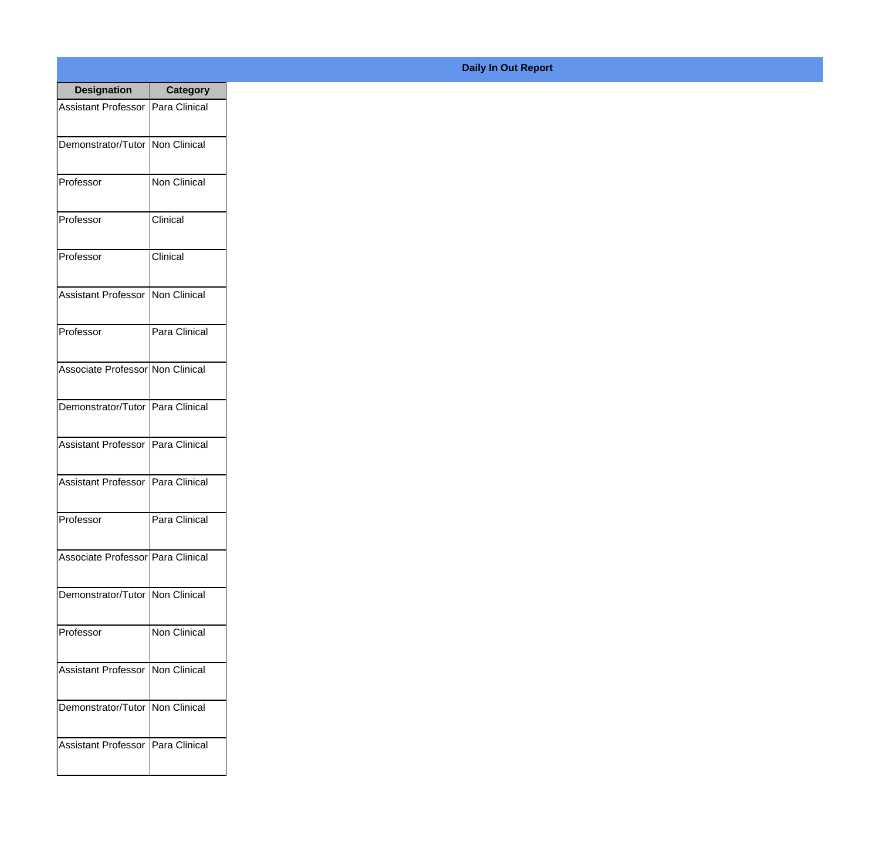| <b>Designation</b>                  | <b>Category</b>     |
|-------------------------------------|---------------------|
| <b>Assistant Professor</b>          | Para Clinical       |
| Demonstrator/Tutor                  | Non Clinical        |
| Professor                           | <b>Non Clinical</b> |
| Professor                           | Clinical            |
| Professor                           | Clinical            |
| Assistant Professor                 | Non Clinical        |
| Professor                           | Para Clinical       |
| Associate Professor Non Clinical    |                     |
| Demonstrator/Tutor                  | Para Clinical       |
| <b>Assistant Professor</b>          | Para Clinical       |
| <b>Assistant Professor</b>          | Para Clinical       |
| Professor                           | Para Clinical       |
| Associate Professor   Para Clinical |                     |
| Demonstrator/Tutor   Non Clinical   |                     |
| Professor                           | <b>Non Clinical</b> |
| <b>Assistant Professor</b>          | Non Clinical        |
| Demonstrator/Tutor                  | Non Clinical        |
| <b>Assistant Professor</b>          | Para Clinical       |

## **Daily In Out Report**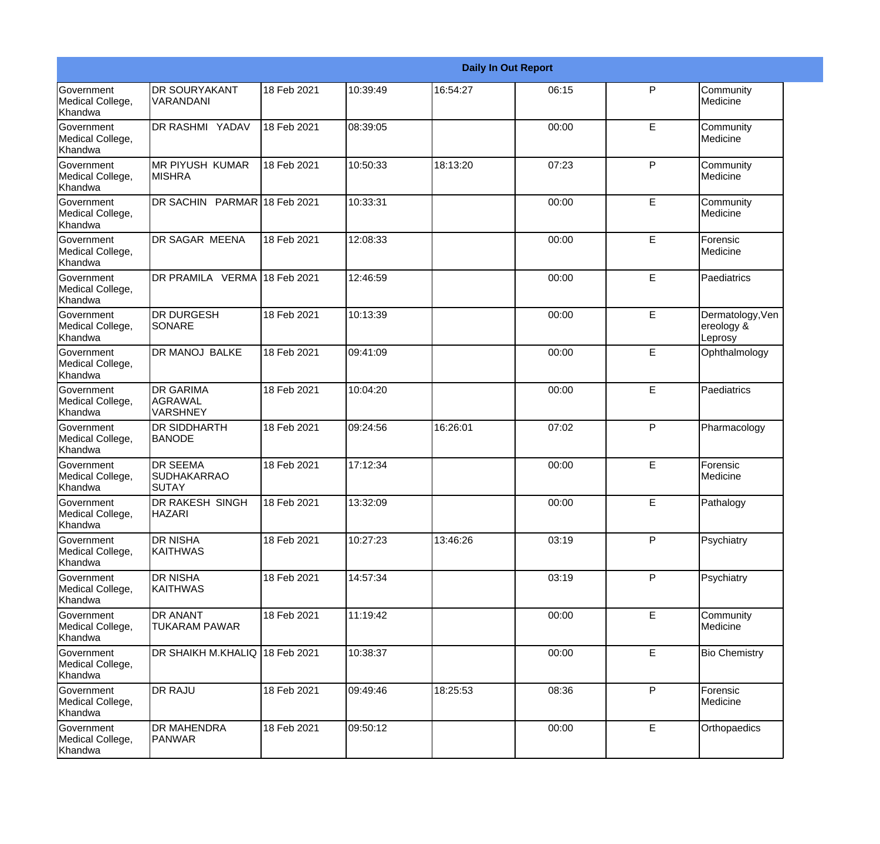|                                                         |                                                       |             |          |          | <b>Daily In Out Report</b> |              |                                           |
|---------------------------------------------------------|-------------------------------------------------------|-------------|----------|----------|----------------------------|--------------|-------------------------------------------|
| Government<br>Medical College,<br>Khandwa               | <b>DR SOURYAKANT</b><br><b>VARANDANI</b>              | 18 Feb 2021 | 10:39:49 | 16:54:27 | 06:15                      | P            | Community<br>Medicine                     |
| Government<br>Medical College,<br>Khandwa               | DR RASHMI YADAV                                       | 18 Feb 2021 | 08:39:05 |          | 00:00                      | E            | Community<br>Medicine                     |
| <b>Government</b><br>Medical College,<br>Khandwa        | <b>MR PIYUSH KUMAR</b><br><b>MISHRA</b>               | 18 Feb 2021 | 10:50:33 | 18:13:20 | 07:23                      | P            | Community<br>Medicine                     |
| Government<br>Medical College,<br>Khandwa               | DR SACHIN PARMAR 18 Feb 2021                          |             | 10:33:31 |          | 00:00                      | E            | Community<br>Medicine                     |
| Government<br>Medical College,<br>Khandwa               | <b>DR SAGAR MEENA</b>                                 | 18 Feb 2021 | 12:08:33 |          | 00:00                      | E            | Forensic<br>Medicine                      |
| Government<br>Medical College,<br>Khandwa               | DR PRAMILA VERMA 18 Feb 2021                          |             | 12:46:59 |          | 00:00                      | E            | Paediatrics                               |
| Government<br>Medical College,<br>Khandwa               | <b>DR DURGESH</b><br>SONARE                           | 18 Feb 2021 | 10:13:39 |          | 00:00                      | E            | Dermatology, Ven<br>ereology &<br>Leprosy |
| Government<br>Medical College,<br>Khandwa               | DR MANOJ BALKE                                        | 18 Feb 2021 | 09:41:09 |          | 00:00                      | E            | Ophthalmology                             |
| Government<br>Medical College,<br>Khandwa               | <b>DR GARIMA</b><br><b>AGRAWAL</b><br><b>VARSHNEY</b> | 18 Feb 2021 | 10:04:20 |          | 00:00                      | E            | Paediatrics                               |
| <b>Government</b><br>Medical College,<br><b>Khandwa</b> | <b>DR SIDDHARTH</b><br><b>BANODE</b>                  | 18 Feb 2021 | 09:24:56 | 16:26:01 | 07:02                      | P            | Pharmacology                              |
| <b>Government</b><br>Medical College,<br><b>Khandwa</b> | <b>DR SEEMA</b><br><b>SUDHAKARRAO</b><br><b>SUTAY</b> | 18 Feb 2021 | 17:12:34 |          | 00:00                      | E            | Forensic<br>Medicine                      |
| Government<br>Medical College,<br>Khandwa               | <b>DR RAKESH SINGH</b><br><b>HAZARI</b>               | 18 Feb 2021 | 13:32:09 |          | 00:00                      | E            | Pathalogy                                 |
| Government<br>Medical College,<br>Khandwa               | <b>DR NISHA</b><br><b>KAITHWAS</b>                    | 18 Feb 2021 | 10:27:23 | 13:46:26 | 03:19                      | $\mathsf{P}$ | Psychiatry                                |
| Government<br>Medical College,<br>Khandwa               | <b>DR NISHA</b><br>KAITHWAS                           | 18 Feb 2021 | 14:57:34 |          | 03:19                      | $\mathsf{P}$ | Psychiatry                                |
| Government<br>Medical College,<br>Khandwa               | <b>DR ANANT</b><br><b>TUKARAM PAWAR</b>               | 18 Feb 2021 | 11:19:42 |          | 00:00                      | E            | Community<br>Medicine                     |
| Government<br>Medical College,<br>Khandwa               | DR SHAIKH M.KHALIQ 18 Feb 2021                        |             | 10:38:37 |          | 00:00                      | E            | <b>Bio Chemistry</b>                      |
| Government<br>Medical College,<br>Khandwa               | <b>DR RAJU</b>                                        | 18 Feb 2021 | 09:49:46 | 18:25:53 | 08:36                      | $\mathsf{P}$ | Forensic<br>Medicine                      |
| Government<br>Medical College,<br>Khandwa               | <b>DR MAHENDRA</b><br>PANWAR                          | 18 Feb 2021 | 09:50:12 |          | 00:00                      | E            | Orthopaedics                              |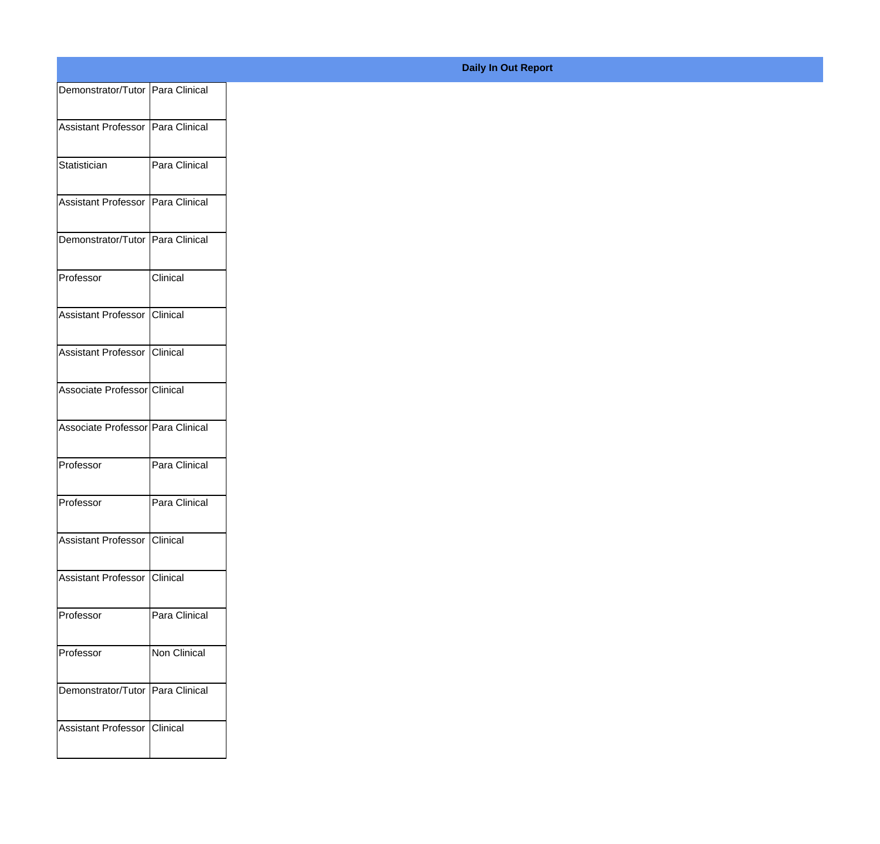| Demonstrator/Tutor Para Clinical  |                 |
|-----------------------------------|-----------------|
| Assistant Professor Para Clinical |                 |
|                                   |                 |
| Statistician                      | Para Clinical   |
| Assistant Professor Para Clinical |                 |
| Demonstrator/Tutor Para Clinical  |                 |
| Professor                         | Clinical        |
|                                   |                 |
| Assistant Professor Clinical      |                 |
| Assistant Professor Clinical      |                 |
| Associate Professor Clinical      |                 |
| Associate Professor Para Clinical |                 |
| Professor                         | Para Clinical   |
|                                   |                 |
| Professor                         | Para Clinical   |
| Assistant Professor Clinical      |                 |
| Assistant Professor Clinical      |                 |
| Professor                         | Para Clinical   |
|                                   |                 |
| Professor                         | Non Clinical    |
| Demonstrator/Tutor Para Clinical  |                 |
| Assistant Professor               | <b>Clinical</b> |
|                                   |                 |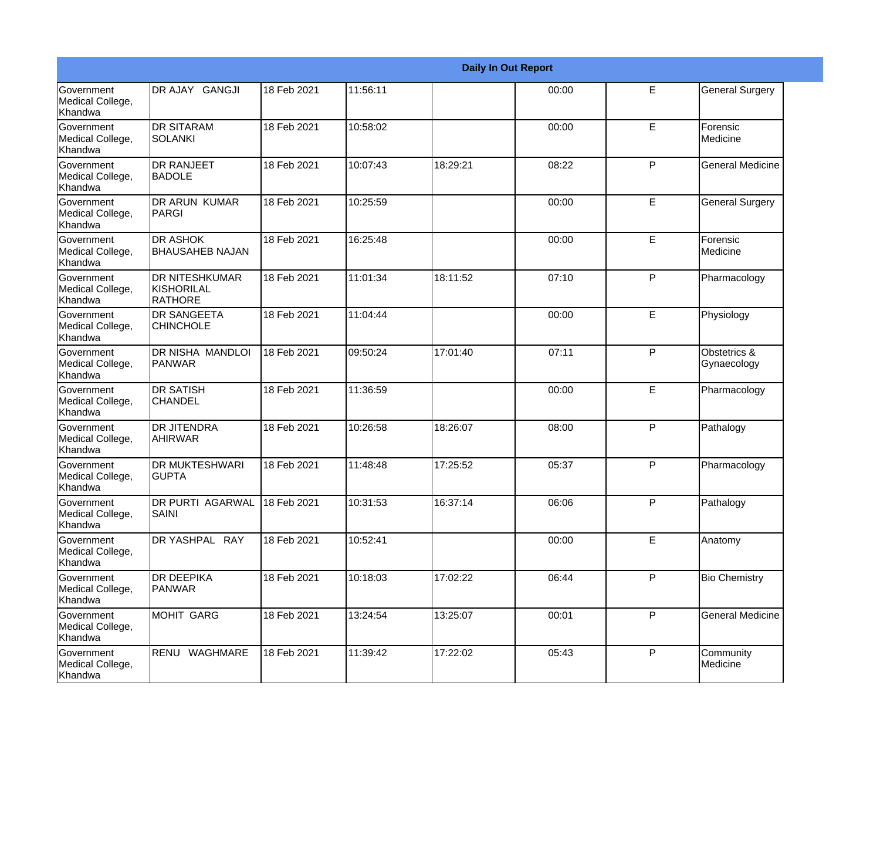|                                           |                                                       |             |          |          | <b>Daily In Out Report</b> |              |                             |
|-------------------------------------------|-------------------------------------------------------|-------------|----------|----------|----------------------------|--------------|-----------------------------|
| Government<br>Medical College,<br>Khandwa | DR AJAY GANGJI                                        | 18 Feb 2021 | 11:56:11 |          | 00:00                      | E            | <b>General Surgery</b>      |
| Government<br>Medical College,<br>Khandwa | <b>DR SITARAM</b><br><b>SOLANKI</b>                   | 18 Feb 2021 | 10:58:02 |          | 00:00                      | E            | Forensic<br>Medicine        |
| Government<br>Medical College,<br>Khandwa | <b>DR RANJEET</b><br><b>BADOLE</b>                    | 18 Feb 2021 | 10:07:43 | 18:29:21 | 08:22                      | P            | <b>General Medicine</b>     |
| Government<br>Medical College,<br>Khandwa | <b>DR ARUN KUMAR</b><br>PARGI                         | 18 Feb 2021 | 10:25:59 |          | 00:00                      | E            | <b>General Surgery</b>      |
| Government<br>Medical College,<br>Khandwa | <b>DR ASHOK</b><br><b>BHAUSAHEB NAJAN</b>             | 18 Feb 2021 | 16:25:48 |          | 00:00                      | E            | Forensic<br>Medicine        |
| Government<br>Medical College,<br>Khandwa | <b>DR NITESHKUMAR</b><br>KISHORILAL<br><b>RATHORE</b> | 18 Feb 2021 | 11:01:34 | 18:11:52 | 07:10                      | P            | Pharmacology                |
| Government<br>Medical College,<br>Khandwa | <b>DR SANGEETA</b><br><b>CHINCHOLE</b>                | 18 Feb 2021 | 11:04:44 |          | 00:00                      | E            | Physiology                  |
| Government<br>Medical College,<br>Khandwa | DR NISHA MANDLOI<br>PANWAR                            | 18 Feb 2021 | 09:50:24 | 17:01:40 | 07:11                      | $\mathsf{P}$ | Obstetrics &<br>Gynaecology |
| Government<br>Medical College,<br>Khandwa | <b>DR SATISH</b><br><b>CHANDEL</b>                    | 18 Feb 2021 | 11:36:59 |          | 00:00                      | E            | Pharmacology                |
| Government<br>Medical College,<br>Khandwa | <b>DR JITENDRA</b><br><b>AHIRWAR</b>                  | 18 Feb 2021 | 10:26:58 | 18:26:07 | 08:00                      | P            | Pathalogy                   |
| Government<br>Medical College,<br>Khandwa | <b>DR MUKTESHWARI</b><br><b>GUPTA</b>                 | 18 Feb 2021 | 11:48:48 | 17:25:52 | 05:37                      | P            | Pharmacology                |
| Government<br>Medical College,<br>Khandwa | DR PURTI AGARWAL<br>SAINI                             | 18 Feb 2021 | 10:31:53 | 16:37:14 | 06:06                      | P            | Pathalogy                   |
| Government<br>Medical College,<br>Khandwa | DR YASHPAL RAY                                        | 18 Feb 2021 | 10:52:41 |          | 00:00                      | E            | Anatomy                     |
| Government<br>Medical College,<br>Khandwa | <b>DR DEEPIKA</b><br>PANWAR                           | 18 Feb 2021 | 10:18:03 | 17:02:22 | 06:44                      | P            | <b>Bio Chemistry</b>        |
| Government<br>Medical College,<br>Khandwa | MOHIT GARG                                            | 18 Feb 2021 | 13:24:54 | 13:25:07 | 00:01                      | P            | <b>General Medicine</b>     |
| Government<br>Medical College,<br>Khandwa | RENU WAGHMARE                                         | 18 Feb 2021 | 11:39:42 | 17:22:02 | 05:43                      | P            | Community<br>Medicine       |